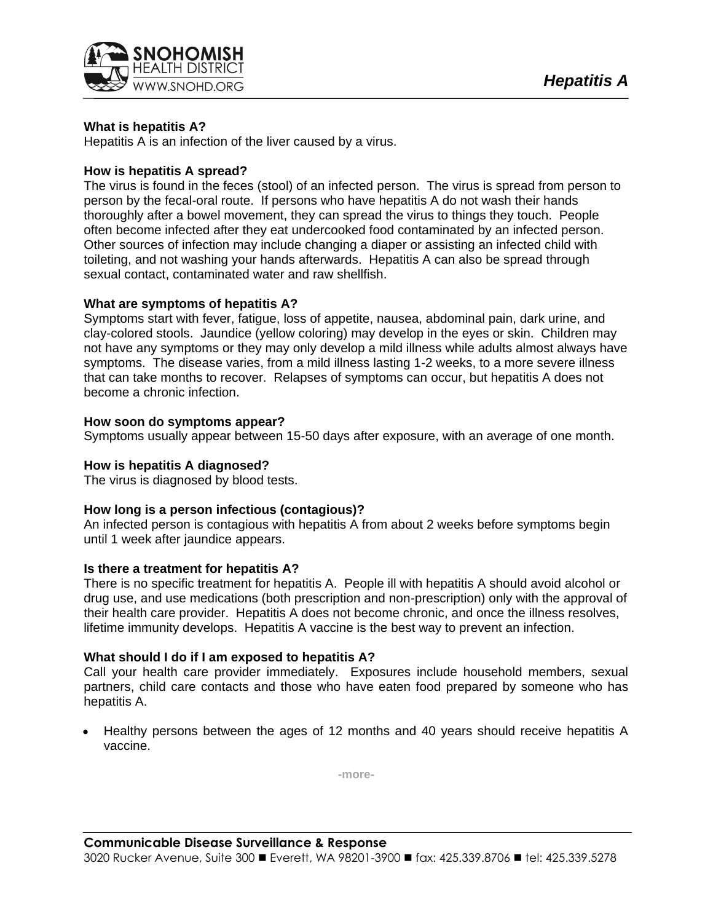

# **What is hepatitis A?**

Hepatitis A is an infection of the liver caused by a virus.

## **How is hepatitis A spread?**

The virus is found in the feces (stool) of an infected person. The virus is spread from person to person by the fecal-oral route. If persons who have hepatitis A do not wash their hands thoroughly after a bowel movement, they can spread the virus to things they touch. People often become infected after they eat undercooked food contaminated by an infected person. Other sources of infection may include changing a diaper or assisting an infected child with toileting, and not washing your hands afterwards. Hepatitis A can also be spread through sexual contact, contaminated water and raw shellfish.

# **What are symptoms of hepatitis A?**

Symptoms start with fever, fatigue, loss of appetite, nausea, abdominal pain, dark urine, and clay-colored stools. Jaundice (yellow coloring) may develop in the eyes or skin. Children may not have any symptoms or they may only develop a mild illness while adults almost always have symptoms. The disease varies, from a mild illness lasting 1-2 weeks, to a more severe illness that can take months to recover. Relapses of symptoms can occur, but hepatitis A does not become a chronic infection.

## **How soon do symptoms appear?**

Symptoms usually appear between 15-50 days after exposure, with an average of one month.

## **How is hepatitis A diagnosed?**

The virus is diagnosed by blood tests.

### **How long is a person infectious (contagious)?**

An infected person is contagious with hepatitis A from about 2 weeks before symptoms begin until 1 week after jaundice appears.

### **Is there a treatment for hepatitis A?**

There is no specific treatment for hepatitis A. People ill with hepatitis A should avoid alcohol or drug use, and use medications (both prescription and non-prescription) only with the approval of their health care provider. Hepatitis A does not become chronic, and once the illness resolves, lifetime immunity develops. Hepatitis A vaccine is the best way to prevent an infection.

### **What should I do if I am exposed to hepatitis A?**

Call your health care provider immediately. Exposures include household members, sexual partners, child care contacts and those who have eaten food prepared by someone who has hepatitis A.

 Healthy persons between the ages of 12 months and 40 years should receive hepatitis A vaccine.

**-more-**